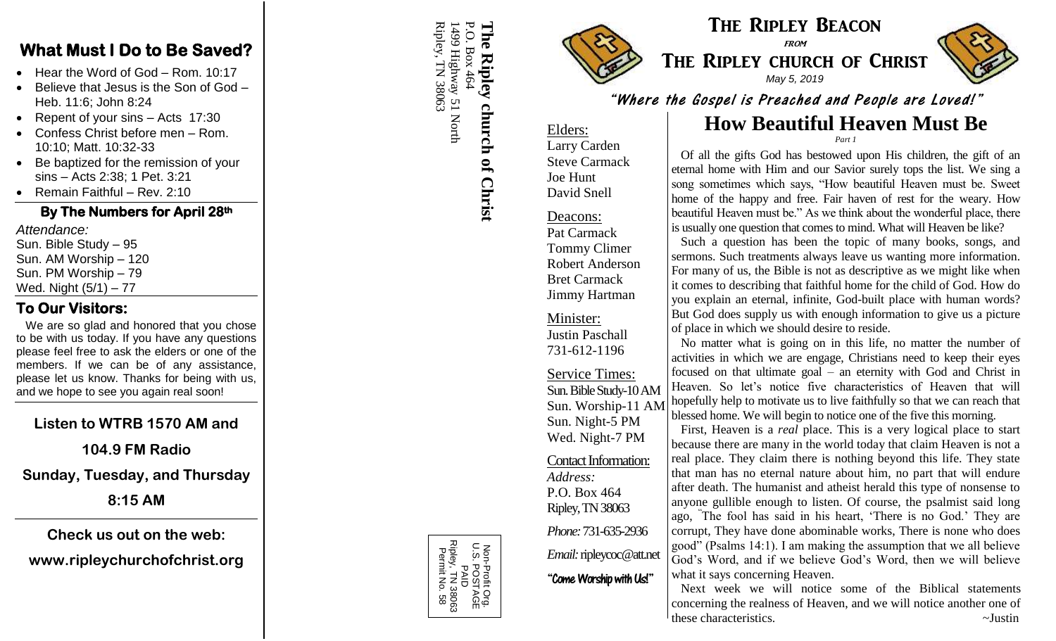#### **What Must I Do to Be Saved?**

- Hear the Word of God Rom. 10:17
- Believe that Jesus is the Son of God Heb. 11:6; John 8:24
- Repent of your sins Acts 17:30
- Confess Christ before men Rom. 10:10; Matt. 10:32 -33
- Be baptized for the remission of your sins – Acts 2:38; 1 Pet. 3:21
- Remain Faithful Rev. 2:10

#### **By The Numbers for April 2 8th**

*Attendance:* Sun. Bible Study – 95 Sun. AM Worship – 120 Sun. PM Worship – 79 Wed. Night (5/1 ) – 77

# **To Our Visitors:**

We are so glad and honored that you chose to be with us today. If you have any questions please feel free to ask the elders or one of the members. If we can be of any assistance, please let us know. Thanks for being with us, and we hope to see you again real soon!

## **Listen to WTRB 1570 AM and**

#### **104.9 FM Radio**

**Sunday, Tuesday, and Thursday**

**8:15 AM**

#### **Check us out on the web:**

## **www.ripleychurchofchrist.org**



#### The Ripley Beacon from

# THE RIPLEY CHURCH OF CHRIST *May 5, 2019*



"Where the Gospel is Preached and People are Loved!"

#### **How Beautiful Heaven Must Be** *Part 1*

Elders: Larry Carden Steve Carmack Joe Hunt David Snell

#### Deacons:

Pat Carmack Tommy Climer Robert Anderson Bret Carmack Jimmy Hartman

Minister: Justin Paschall 731 -612 -1196

Service Times: Sun. Bible Study-10 AM Sun. Worship -11 AM Sun. Night - 5 PM Wed. Night -7 PM

Contact Information: *Address:* P.O. Box 464 Ripley, TN 38063

*Phone:* 731 -635 -2936 *Email:*ripleycoc@att.net

"Come Worship with Us!"

 Of all the gifts God has bestowed upon His children, the gift of an eternal home with Him and our Savior surely tops the list. We sing a song sometimes which says, "How beautiful Heaven must be. Sweet home of the happy and free. Fair haven of rest for the weary. How beautiful Heaven must be." As we think about the wonderful place, there is usually one question that comes to mind. What will Heaven be like?

 Such a question has been the topic of many books, songs, and sermons. Such treatments always leave us wanting more information. For many of us, the Bible is not as descriptive as we might like when it comes to describing that faithful home for the child of God. How do you explain an eternal, infinite, God -built place with human words? But God does supply us with enough information to give us a picture of place in which we should desire to reside.

 No matter what is going on in this life, no matter the number of activities in which we are engage, Christians need to keep their eyes focused on that ultimate goal – an eternity with God and Christ in Heaven. So let's notice five characteristics of Heaven that will hopefully help to motivate us to live faithfully so that we can reach that blessed home. We will begin to notice one of the five this morning.

First, Heaven is a *real* place. This is a very logical place to start because there are many in the world today that claim Heaven is not a real place. They claim there is nothing beyond this life. They state that man has no eternal nature about him, no part that will endure after death. The humanist and atheist herald this type of nonsense to anyone gullible enough to listen. Of course, the psalmist said long ago, " The fool has said in his heart, 'There is no God.' They are corrupt, They have done abominable works, There is none who does good" (Psalms 14:1). I am making the assumption that we all believe God's Word, and if we believe God's Word, then we will believe what it says concerning Heaven.

 Next week we will notice some of the Biblical statements concerning the realness of Heaven, and we will notice another one of these characteristics.  $\sim$ Justin